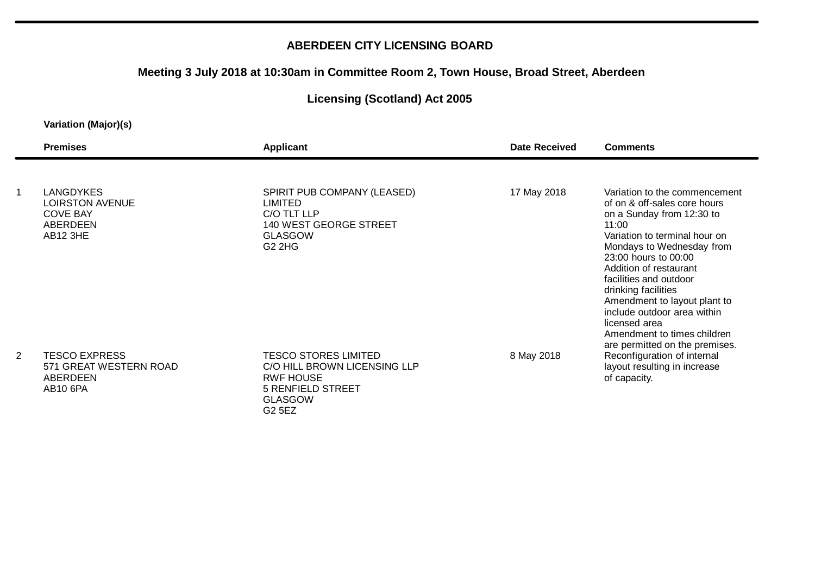### **ABERDEEN CITY LICENSING BOARD**

### **Meeting 3 July 2018 at 10:30am in Committee Room 2, Town House, Broad Street, Aberdeen**

# **Licensing (Scotland) Act 2005**

#### **Variation (Major)(s)**

|   | <b>Premises</b>                                                                       | <b>Applicant</b>                                                                                                                 | <b>Date Received</b> | <b>Comments</b>                                                                                                                                                                                                                                                                                                                                                                                                       |
|---|---------------------------------------------------------------------------------------|----------------------------------------------------------------------------------------------------------------------------------|----------------------|-----------------------------------------------------------------------------------------------------------------------------------------------------------------------------------------------------------------------------------------------------------------------------------------------------------------------------------------------------------------------------------------------------------------------|
|   |                                                                                       |                                                                                                                                  |                      |                                                                                                                                                                                                                                                                                                                                                                                                                       |
|   | <b>LANGDYKES</b><br><b>LOIRSTON AVENUE</b><br><b>COVE BAY</b><br>ABERDEEN<br>AB12 3HE | SPIRIT PUB COMPANY (LEASED)<br><b>LIMITED</b><br>C/O TLT LLP<br><b>140 WEST GEORGE STREET</b><br><b>GLASGOW</b><br><b>G2 2HG</b> | 17 May 2018          | Variation to the commencement<br>of on & off-sales core hours<br>on a Sunday from 12:30 to<br>11:00<br>Variation to terminal hour on<br>Mondays to Wednesday from<br>23:00 hours to 00:00<br>Addition of restaurant<br>facilities and outdoor<br>drinking facilities<br>Amendment to layout plant to<br>include outdoor area within<br>licensed area<br>Amendment to times children<br>are permitted on the premises. |
| 2 | <b>TESCO EXPRESS</b><br>571 GREAT WESTERN ROAD<br>ABERDEEN<br><b>AB10 6PA</b>         | <b>TESCO STORES LIMITED</b><br>C/O HILL BROWN LICENSING LLP<br><b>RWF HOUSE</b><br><b>5 RENFIELD STREET</b><br><b>GLASGOW</b>    | 8 May 2018           | Reconfiguration of internal<br>layout resulting in increase<br>of capacity.                                                                                                                                                                                                                                                                                                                                           |

G2 5EZ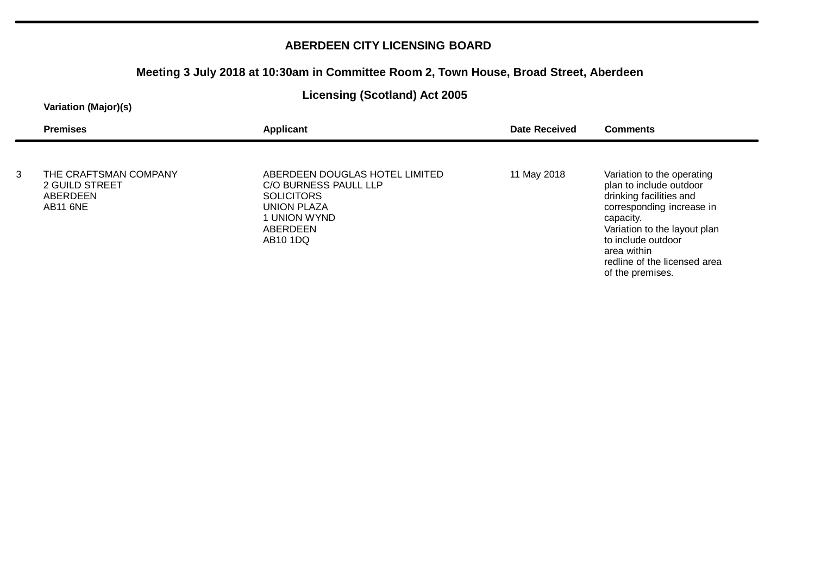### **ABERDEEN CITY LICENSING BOARD**

### **Meeting 3 July 2018 at 10:30am in Committee Room 2, Town House, Broad Street, Aberdeen**

### **Licensing (Scotland) Act 2005**

#### **Variation (Major)(s)**

| <b>Premises</b>                                    |                       | Applicant                                                                                                                                              | <b>Date Received</b> | <b>Comments</b>                                                                                                                                                                                                                                     |
|----------------------------------------------------|-----------------------|--------------------------------------------------------------------------------------------------------------------------------------------------------|----------------------|-----------------------------------------------------------------------------------------------------------------------------------------------------------------------------------------------------------------------------------------------------|
| 3<br>2 GUILD STREET<br>ABERDEEN<br><b>AB11 6NE</b> | THE CRAFTSMAN COMPANY | ABERDEEN DOUGLAS HOTEL LIMITED<br>C/O BURNESS PAULL LLP<br><b>SOLICITORS</b><br><b>UNION PLAZA</b><br>1 UNION WYND<br>ABERDEEN<br>AB <sub>10</sub> 1DQ | 11 May 2018          | Variation to the operating<br>plan to include outdoor<br>drinking facilities and<br>corresponding increase in<br>capacity.<br>Variation to the layout plan<br>to include outdoor<br>area within<br>redline of the licensed area<br>of the premises. |